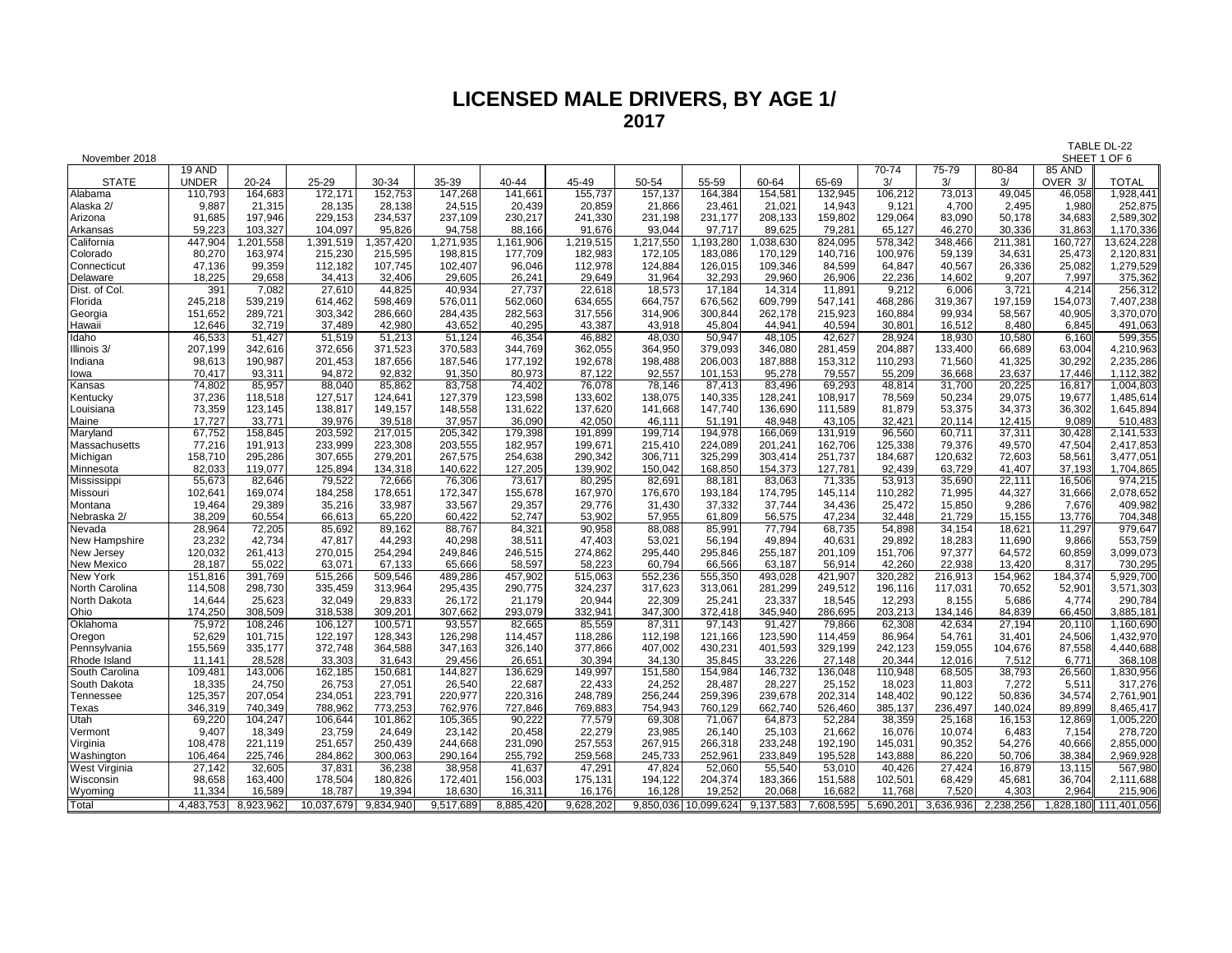# **LICENSED MALE DRIVERS, BY AGE 1/ 2017**

| November 2018     |              |                   |            |                     |           |           |           |           |                   |                   | SHEET 1 OF 6      |           |                 |                 |                 |                       |
|-------------------|--------------|-------------------|------------|---------------------|-----------|-----------|-----------|-----------|-------------------|-------------------|-------------------|-----------|-----------------|-----------------|-----------------|-----------------------|
|                   | 19 AND       |                   |            |                     |           |           |           |           |                   |                   |                   | 70-74     | 75-79           | 80-84           | <b>85 AND</b>   |                       |
| <b>STATE</b>      | <b>UNDER</b> | 20-24             | 25-29      | 30-34               | 35-39     | 40-44     | 45-49     | 50-54     | 55-59             | 60-64             | 65-69             | 3/        | 3/              | 3/              | OVER 3/         | <b>TOTAL</b>          |
| Alabama           | 110,793      | 164,683           | 172,171    | 152,753             | 147,268   | 141,661   | 155,737   | 157,137   | 164,384           | 154,581           | 132,945           | 106,212   | 73,013          | 49,045          | 46,058          | 1,928,441             |
| Alaska 2/         | 9,887        | 21,315            | 28,135     | 28,138              | 24,515    | 20,439    | 20,859    | 21,866    | 23,461            | 21,021            | 14,943            | 9,121     | 4,700           | 2,495           | 1,980           | 252,875               |
| Arizona           | 91,685       | 197,946           | 229,153    | 234,537             | 237,109   | 230,217   | 241,330   | 231,198   | 231,177           | 208,133           | 159,802           | 129,064   | 83,090          | 50,178          | 34,683          | 2,589,302             |
| Arkansas          | 59,223       | 103,327           | 104.097    | 95,826              | 94,758    | 88,166    | 91,676    | 93,044    | 97,717            | 89,625            | 79.281            | 65.127    | 46,270          | 30.336          | 31.863          | 1,170,336             |
| California        | 447,904      | ,201,558          | 1,391,519  | ,357,420            | 1,271,935 | 1,161,906 | 1,219,515 | 1,217,550 | 1,193,280         | ,038,630          | 824,095           | 578,342   | 348,466         | 211,381         | 160,727         | 13,624,228            |
| Colorado          | 80,270       | 163,974           | 215,230    | 215,595             | 198,815   | 177,709   | 182,983   | 172,105   | 183,086           | 170,129           | 140,716           | 100,976   | 59,139          | 34,631          | 25,473          | 2,120,831             |
| Connecticut       | 47,136       | 99,359            | 112,182    | 107,745             | 102,407   | 96,046    | 112,978   | 124,884   | 126,015           | 109,346           | 84,599            | 64,847    | 40,567          | 26,336          | 25,082          | 1,279,529             |
| Delaware          | 18,225       | 29,658            | 34,413     | 32,406              | 29,605    | 26,24'    | 29,649    | 31,964    | 32,293            | 29,960            | 26,906            | 22,236    | 14,602          | 9,207           | 7,997           | 375,362               |
| Dist. of Col.     | 391          | 7,082             | 27,610     | 44,825              | 40,934    | 27,737    | 22,618    | 18,573    | 17,184            | 14,314            | 11,891            | 9,212     | 6,006           | 3,721           | 4,214           | 256,312               |
| Florida           | 245,218      | 539,219           | 614,462    | 598,469             | 576,011   | 562,060   | 634,655   | 664,757   | 676,562           | 609,799           | 547,141           | 468,286   | 319,367         | 197,159         | 154,073         | 7,407,238             |
| Georgia           | 151,652      | 289,721           | 303,342    | 286,660             | 284,435   | 282,563   | 317,556   | 314,906   | 300,844           | 262,178           | 215,923           | 160,884   | 99,934          | 58,567          | 40,905          | 3,370,070             |
| Hawaii            | 12,646       | 32,719            | 37,489     | 42,980              | 43,652    | 40,295    | 43,387    | 43,918    | 45,804            | 44,941            | 40,594            | 30,801    | 16,512          | 8,480           | 6,845           | 491,063               |
| Idaho             | 46,533       | 51,427            | 51,519     | $\overline{5}1,213$ | 51,124    | 46,354    | 46,882    | 48,030    | 50,947            | 48,105            | 42,627            | 28,924    | 18,930          | 10,580          | 6,160           | 599,355               |
| Illinois 3/       | 207,199      | 342,616           | 372,656    | 371,523             | 370.583   | 344,769   | 362,055   | 364.950   | 379.093           | 346.080           | 281.459           | 204.887   | 133.400         | 66,689          | 63,004          | 4,210,963             |
| Indiana           | 98,613       | 190,987           | 201,453    | 187,656             | 187,546   | 177,192   | 192,678   | 198,488   | 206,003           | 187,888           | 153,312           | 110,293   | 71,560          | 41,325          | 30,292          | 2,235,286             |
| lowa              | 70,417       | 93,311            | 94,872     | 92,832              | 91,350    | 80,973    | 87,122    | 92,557    | 101,153           | 95,278            | 79,557            | 55,209    | 36,668          | 23,637          | 17,446          | 1,112,382             |
| Kansas            | 74,802       | 85,957            | 88,040     | 85,862              | 83,758    | 74,402    | 76,078    | 78,146    | 87,413            | 83,496            | 69,293            | 48,814    | 31,700          | 20,225          | 16,817          | 1,004,803             |
| Kentucky          | 37,236       | 118,518           | 127,517    | 124,641             | 127,379   | 123,598   | 133,602   | 138,075   | 140,335           | 128,241           | 108,917           | 78,569    | 50,234          | 29,075          | 19,677          | 1,485,614             |
| Louisiana         | 73,359       | 123,145           | 138,817    | 149,157             | 148,558   | 131,622   | 137,620   | 141,668   | 147,740           | 136,690           | 111,589           | 81,879    | 53,375          | 34,373          | 36,302          | 1,645,894             |
| Maine             | 17.727       | 33,771            | 39.976     | 39,518              | 37,957    | 36,090    | 42,050    | 46,111    | 51,191            | 48.948            | 43,105            | 32,421    | 20,114          | 12,415          | 9.089           | 510,483               |
| Maryland          | 67,752       | 158,845           | 203,592    | 217,015             | 205,342   | 179,398   | 191,899   | 199,714   | 194,978           | 166,069           | 131,919           | 96,560    | 60,711          | 37,311          | 30,428          | 2,141,533             |
| Massachusetts     | 77,216       | 191,913           | 233,999    | 223,308             | 203,555   | 182,957   | 199,671   | 215,410   | 224,089           | 201,241           | 162,706           | 125,338   | 79,376          | 49,570          | 47,504          | 2,417,853             |
| Michigan          | 158,710      | 295,286           | 307,655    | 279,201             | 267,575   | 254,638   | 290,342   | 306,711   | 325,299           | 303,414           | 251,737           | 184,687   | 120,632         | 72,603          | 58,561          | 3,477,051             |
| Minnesota         | 82,033       | 119,077           | 125,894    | 134,318             | 140,622   | 127,205   | 139,902   | 150,042   | 168,850           | 154,373           | 127,781           | 92,439    | 63,729          | 41,407          | 37,193          | 1,704,865             |
| Mississippi       | 55,673       | 82,646            | 79,522     | 72,666              | 76,306    | 73,617    | 80,295    | 82,691    | 88,181            | 83,063            | 71,335            | 53,913    | 35,690          | 22,111          | 16,506          | 974,215               |
| Missouri          | 102,641      | 169,074           | 184,258    | 178,651             | 172,347   | 155,678   | 167,970   | 176.670   | 193,184           | 174.795           | 145.114           | 110,282   | 71,995          | 44,327          | 31,666          | 2,078,652             |
| Montana           | 19,464       | 29,389            | 35,216     | 33,987              | 33,567    | 29,357    | 29,776    | 31,430    | 37,332            | 37,744            | 34,436            | 25,472    | 15,850          | 9,286           | 7,676           | 409,982               |
| Nebraska 2/       | 38,209       | 60,554            | 66,613     | 65,220              | 60,422    | 52,747    | 53,902    | 57,955    | 61,809            | 56,575            | 47,234            | 32.448    | 21,729          | 15,155          | 13,776          | 704,348               |
| Nevada            | 28,964       | 72,205            | 85,692     | 89,162              | 88,767    | 84,32'    | 90,958    | 88,088    | 85,991            | 77,794            | 68,735            | 54,898    | 34,154          | 18,621          | 11,297          | 979,647               |
| New Hampshire     | 23,232       | 42,734            | 47,817     | 44,293              | 40,298    | 38,511    | 47,403    | 53,021    | 56,194            | 49,894            | 40,631            | 29,892    | 18,283          | 11,690          | 9,866           | 553,759               |
| New Jersey        | 120,032      | 261,413           | 270,015    | 254,294             | 249,846   | 246,515   | 274,862   | 295,440   | 295,846           | 255,187           | 201,109           | 151,706   | 97,377          | 64,572          | 60,859          | 3,099,073             |
| <b>New Mexico</b> | 28,187       | 55,022            | 63,071     | 67.133              | 65,666    | 58,597    | 58,223    | 60.794    | 66,566            | 63,187            | 56.914            | 42.260    | 22,938          | 13,420          | 8,317           | 730,295               |
| <b>New York</b>   | 151,816      | 391,769           | 515,266    | 509,546             | 489,286   | 457,902   | 515,063   | 552,236   | 555,350           | 493,028           | 421,907           | 320,282   | 216,913         | 154,962         | 184,374         | 5,929,700             |
| North Carolina    | 114,508      | 298,730           | 335,459    | 313,964             | 295,435   | 290,775   | 324,237   | 317,623   | 313,061           | 281,299           | 249,512           | 196,116   | 117,031         | 70,652          | 52,901          | 3,571,303             |
| North Dakota      | 14,644       | 25,623            | 32,049     | 29,833              | 26,172    | 21,179    | 20,944    | 22,309    | 25,241            | 23,337            | 18,545            | 12,293    | 8,155           | 5,686           | 4,774           | 290,784               |
| Ohio              | 174,250      | 308,509           | 318,538    | 309,201             | 307,662   | 293,079   | 332,941   | 347,300   | 372,418           | 345,940           | 286,695           | 203,213   | 134,146         | 84,839          | 66,450          | 3,885,181             |
| Oklahoma          | 75,972       | 108,246           | 106,127    | 100,571             | 93,557    | 82,665    | 85,559    | 87,311    | 97,143            | 91,427            | 79,866            | 62,308    | 42,634          | 27,194          | 20,110          | 1,160,690             |
| Oregon            | 52,629       | 101,715           | 122,197    | 128,343             | 126,298   | 114,457   | 118,286   | 112,198   | 121,166           | 123,590           | 114.459           | 86.964    | 54,761          | 31,401          | 24,506          | 1,432,970             |
| Pennsylvania      | 155,569      | 335,177           | 372,748    | 364,588             | 347,163   | 326,140   | 377,866   | 407,002   | 430,231           | 401,593           | 329,199           | 242,123   | 159,055         | 104,676         | 87,558          | 4,440,688             |
| Rhode Island      | 11,141       | 28,528            | 33,303     | 31,643              | 29,456    | 26,65'    | 30,394    | 34,130    | 35,845            | 33,226            | 27.148            | 20,344    | 12.016          | 7,512           | 6,77'           | 368,108               |
| South Carolina    | 109,481      | 143,006           | 162,185    | 150,681             | 144,827   | 136,629   | 149,997   | 151,580   | 154,984           | 146,732           | 136,048           | 110,948   | 68,505          | 38,793          | 26,560          | 1,830,956             |
| South Dakota      | 18,335       | 24,750            | 26,753     | 27,051              | 26,540    | 22,687    | 22,433    | 24,252    | 28,487            | 28,227            | 25,152            | 18,023    | 11,803          | 7,272           | 5,511           | 317,276               |
| Tennessee         | 125,357      | 207,054           | 234,051    | 223,791             | 220,977   | 220,316   | 248,789   | 256,244   | 259,396           | 239,678           | 202,314           | 148,402   | 90,122          | 50,836          | 34,574          | 2,761,901             |
| <b>Texas</b>      | 346,319      | 740,349           | 788,962    | 773,253             | 762,976   | 727,846   | 769,883   | 754,943   | 760,129           | 662,740           | 526,460           | 385,137   | 236,497         | 140,024         | 89,899          | 8,465,417             |
| Utah              | 69,220       | 104,247           | 106,644    | 101,862             | 105,365   | 90,222    | 77,579    | 69,308    | 71,067            | 64,873            | 52,284            | 38,359    | 25,168          | 16,153          | 12,869          | 1,005,220             |
| Vermont           | 9,407        | 18,349            | 23,759     | 24,649              | 23,142    | 20,458    | 22,279    | 23,985    | 26,140            | 25,103            | 21,662            | 16,076    | 10,074          | 6,483           | 7,154           | 278,720               |
| Virginia          | 108,478      | 221,119           | 251,657    | 250,439             | 244,668   | 231,090   | 257,553   | 267,915   | 266,318           | 233,248           | 192,190           | 145,031   | 90,352          | 54,276          | 40,666          | 2,855,000             |
| Washington        | 106,464      | 225,746           | 284,862    | 300,063             | 290,164   | 255,792   | 259,568   | 245,733   | 252,961           | 233,849           | 195,528           | 143,888   | 86,220          | 50,706          | 38,384          | 2,969,928             |
| West Virginia     | 27,142       | 32,605            | 37,831     | 36,238              | 38,958    | 41,637    | 47,291    | 47,824    | 52,060            | 55,540            | 53,010            | 40,426    | 27,424          | 16,879          | 13,115          | 567,980               |
| Wisconsin         | 98,658       | 163,400<br>16,589 | 178,504    | 180,826             | 172,401   | 156,003   | 175,131   | 194,122   | 204,374<br>19,252 | 183,366<br>20,068 | 151,588<br>16,682 | 102,501   | 68,429<br>7,520 | 45,681<br>4,303 | 36,704<br>2,964 | 2,111,688             |
| Wyoming           | 11,334       |                   | 18,787     | 19,394              | 18,630    | 16,311    | 16,176    | 16,128    |                   |                   |                   | 11,768    |                 |                 |                 | 215,906               |
| Total             | 4,483,753    | 8,923,962         | 10,037,679 | 9,834,940           | 9,517,689 | 8,885,420 | 9,628,202 | 9,850,036 | 10,099,624        | 9,137,583         | 7,608,595         | 5,690,201 | 3,636,936       | 2,238,256       |                 | 1,828,180 111,401,056 |

TABLE DL-22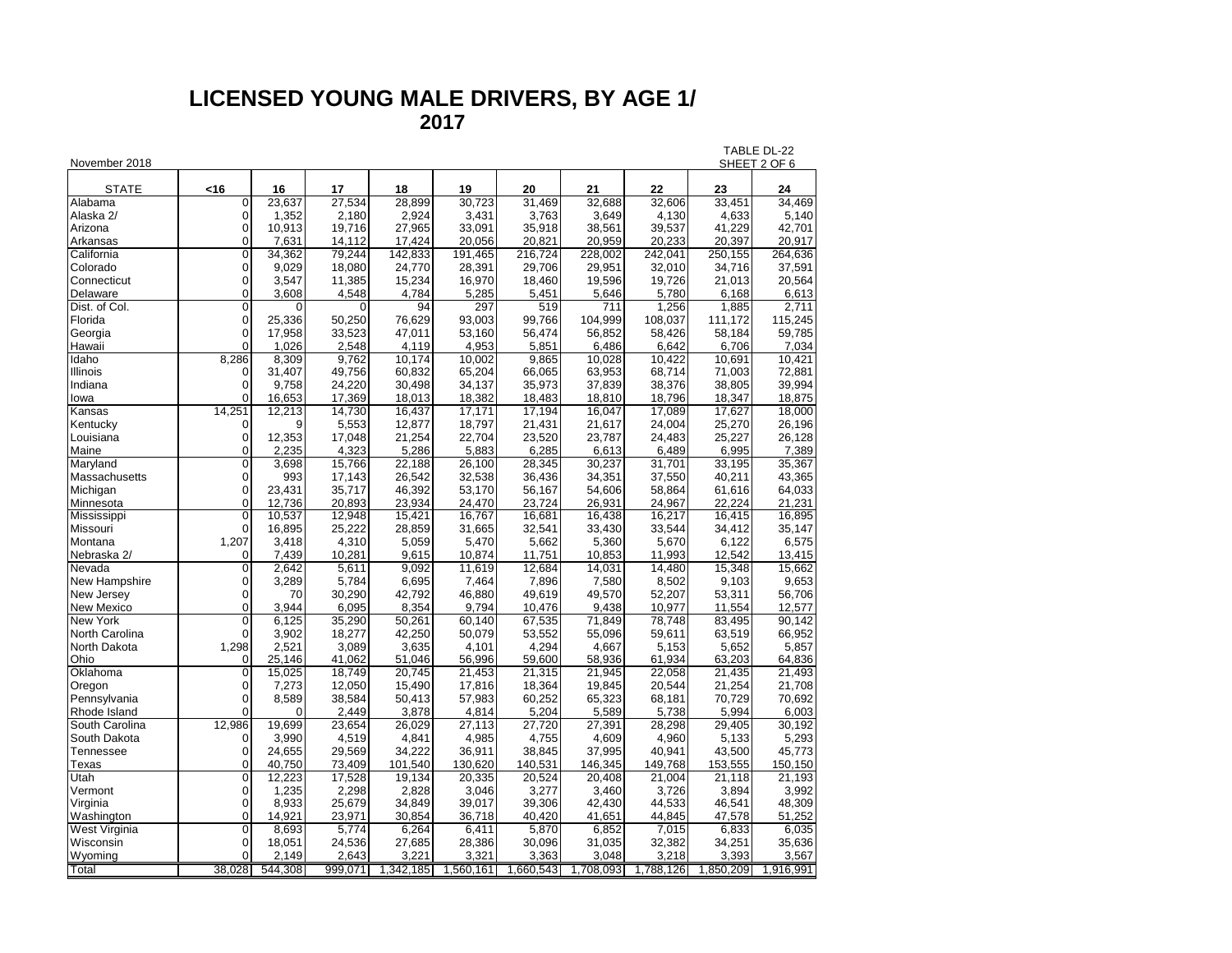## **LICENSED YOUNG MALE DRIVERS, BY AGE 1/ 2017**

| November 2018  |                                  |          |         |           |           |           |           |                  |           | TABLE DL-22<br>SHEET 2 OF 6 |
|----------------|----------------------------------|----------|---------|-----------|-----------|-----------|-----------|------------------|-----------|-----------------------------|
| <b>STATE</b>   | <16                              | 16       | 17      | 18        | 19        | 20        | 21        | 22               | 23        | 24                          |
| Alabama        | $\overline{0}$                   | 23,637   | 27,534  | 28,899    | 30.723    | 31,469    | 32,688    | 32,606           | 33,451    | 34,469                      |
| Alaska 2/      | 0                                | 1,352    | 2.180   | 2,924     | 3,431     | 3.763     | 3,649     | 4.130            | 4,633     | 5,140                       |
| Arizona        | 0                                | 10,913   | 19,716  | 27,965    | 33,091    | 35,918    | 38,561    | 39,537           | 41,229    | 42,701                      |
| Arkansas       | $\overline{0}$                   | 7,631    | 14,112  | 17,424    | 20,056    | 20,821    | 20,959    | 20,233           | 20,397    | 20,917                      |
| California     | $\overline{0}$                   | 34,362   | 79,244  | 142,833   | 191,465   | 216,724   | 228,002   | 242,041          | 250,155   | 264,636                     |
| Colorado       | 0                                | 9,029    | 18,080  | 24,770    | 28,391    | 29,706    | 29,951    | 32,010           | 34,716    | 37,591                      |
| Connecticut    | 0                                | 3,547    | 11,385  | 15,234    | 16,970    | 18,460    | 19,596    | 19,726           | 21,013    | 20,564                      |
| Delaware       | $\Omega$                         | 3,608    | 4.548   | 4,784     | 5,285     | 5.451     | 5,646     | 5.780            | 6.168     | 6,613                       |
| Dist. of Col.  | $\Omega$                         |          |         | 94        | 297       | 519       | 711       | 1,256            | 1,885     | 2,711                       |
| Florida        | 0                                | 25,336   | 50,250  | 76,629    | 93,003    | 99,766    | 104,999   | 108,037          | 111,172   | 115,245                     |
| Georgia        | $\overline{0}$                   | 17,958   | 33,523  | 47,011    | 53,160    | 56,474    | 56,852    | 58,426           | 58,184    | 59,785                      |
| Hawaii         | $\overline{0}$                   | 1,026    | 2,548   | 4,119     | 4,953     | 5,851     | 6,486     | 6,642            | 6,706     | 7,034                       |
| Idaho          | 8,286                            | 8,309    | 9,762   | 10,174    | 10,002    | 9,865     | 10,028    | 10,422           | 10,691    | 10,421                      |
| Illinois       | $\mathbf 0$                      | 31,407   | 49,756  | 60,832    | 65,204    | 66,065    | 63,953    | 68,714           | 71,003    | 72,881                      |
| Indiana        | $\overline{0}$                   | 9.758    | 24,220  | 30,498    | 34,137    | 35,973    | 37,839    | 38,376           | 38,805    | 39,994                      |
| lowa           | $\Omega$                         | 16,653   | 17,369  | 18,013    | 18,382    | 18,483    | 18,810    | 18,796           | 18,347    | 18,875                      |
| Kansas         | 14.251                           | 12.213   | 14,730  | 16,437    | 17,171    | 17,194    | 16.047    | 17.089           | 17,627    | 18.000                      |
| Kentucky       | 0                                | 9        | 5,553   | 12,877    | 18,797    | 21,431    | 21,617    | 24,004           | 25,270    | 26,196                      |
| Louisiana      | 0                                | 12,353   | 17,048  | 21,254    | 22,704    | 23,520    | 23,787    | 24,483           | 25,227    | 26,128                      |
| Maine          | $\overline{0}$                   | 2,235    | 4,323   | 5,286     | 5,883     | 6,285     | 6,613     | 6,489            | 6,995     | 7,389                       |
| Maryland       | $\overline{0}$                   | 3,698    | 15,766  | 22,188    | 26,100    | 28,345    | 30,237    | 31,701           | 33,195    | 35,367                      |
| Massachusetts  | $\mathbf 0$                      | 993      | 17,143  | 26,542    | 32,538    | 36,436    | 34,351    |                  | 40,211    | 43,365                      |
| Michigan       | $\overline{0}$                   | 23,431   | 35,717  | 46,392    | 53,170    | 56,167    | 54,606    | 37,550<br>58,864 |           | 64,033                      |
|                | $\overline{0}$                   |          | 20,893  | 23,934    | 24,470    |           |           |                  | 61,616    | 21,231                      |
| Minnesota      |                                  | 12,736   |         |           |           | 23,724    | 26,931    | 24,967           | 22,224    |                             |
| Mississippi    | $\overline{0}$<br>$\overline{0}$ | 10,537   | 12,948  | 15,421    | 16,767    | 16,681    | 16,438    | 16,217           | 16,415    | 16,895                      |
| Missouri       |                                  | 16,895   | 25,222  | 28,859    | 31,665    | 32,541    | 33,430    | 33,544           | 34,412    | 35,147                      |
| Montana        | 1,207                            | 3,418    | 4,310   | 5,059     | 5,470     | 5,662     | 5,360     | 5,670            | 6,122     | 6,575                       |
| Nebraska 2/    | 0<br>$\overline{0}$              | 7,439    | 10,281  | 9,615     | 10,874    | 11,751    | 10,853    | 11,993           | 12,542    | 13,415                      |
| Nevada         |                                  | 2,642    | 5,611   | 9,092     | 11,619    | 12,684    | 14,031    | 14,480           | 15,348    | 15,662                      |
| New Hampshire  | $\overline{0}$                   | 3,289    | 5,784   | 6,695     | 7,464     | 7,896     | 7,580     | 8,502            | 9,103     | 9,653                       |
| New Jersey     | $\mathbf 0$                      | 70       | 30,290  | 42,792    | 46,880    | 49,619    | 49,570    | 52,207           | 53,311    | 56,706                      |
| New Mexico     | 0                                | 3,944    | 6,095   | 8,354     | 9,794     | 10,476    | 9,438     | 10,977           | 11,554    | 12,577                      |
| New York       | $\overline{0}$                   | 6,125    | 35,290  | 50,261    | 60,140    | 67,535    | 71,849    | 78,748           | 83,495    | 90,142                      |
| North Carolina | 0                                | 3,902    | 18,277  | 42,250    | 50,079    | 53,552    | 55,096    | 59,611           | 63,519    | 66,952                      |
| North Dakota   | 1,298                            | 2,521    | 3,089   | 3,635     | 4,101     | 4,294     | 4,667     | 5,153            | 5,652     | 5,857                       |
| Ohio           | 0                                | 25,146   | 41,062  | 51,046    | 56,996    | 59,600    | 58,936    | 61,934           | 63,203    | 64,836                      |
| Oklahoma       | $\overline{0}$                   | 15,025   | 18.749  | 20,745    | 21,453    | 21,315    | 21,945    | 22,058           | 21,435    | 21,493                      |
| Oregon         | $\overline{0}$                   | 7,273    | 12,050  | 15,490    | 17,816    | 18,364    | 19,845    | 20,544           | 21,254    | 21,708                      |
| Pennsylvania   | $\overline{0}$                   | 8,589    | 38,584  | 50,413    | 57,983    | 60,252    | 65,323    | 68,181           | 70,729    | 70,692                      |
| Rhode Island   | 0                                | $\Omega$ | 2,449   | 3,878     | 4,814     | 5,204     | 5,589     | 5,738            | 5,994     | 6,003                       |
| South Carolina | 12,986                           | 19,699   | 23,654  | 26,029    | 27,113    | 27,720    | 27,391    | 28,298           | 29,405    | 30,192                      |
| South Dakota   | 0                                | 3,990    | 4,519   | 4,841     | 4,985     | 4,755     | 4,609     | 4,960            | 5,133     | 5,293                       |
| Tennessee      | $\mathbf 0$                      | 24,655   | 29,569  | 34,222    | 36,911    | 38,845    | 37,995    | 40,941           | 43,500    | 45,773                      |
| Texas          | $\overline{0}$                   | 40,750   | 73,409  | 101,540   | 130,620   | 140,531   | 146,345   | 149,768          | 153,555   | 150,150                     |
| Utah           | $\overline{0}$                   | 12.223   | 17,528  | 19,134    | 20,335    | 20,524    | 20,408    | 21,004           | 21,118    | 21,193                      |
| Vermont        | 0                                | 1,235    | 2,298   | 2,828     | 3,046     | 3,277     | 3,460     | 3,726            | 3,894     | 3,992                       |
| Virginia       | $\Omega$                         | 8,933    | 25,679  | 34,849    | 39,017    | 39,306    | 42,430    | 44,533           | 46,541    | 48,309                      |
| Washington     | $\overline{0}$                   | 14,921   | 23,971  | 30,854    | 36,718    | 40,420    | 41,651    | 44,845           | 47,578    | 51,252                      |
| West Virginia  | 0                                | 8,693    | 5,774   | 6,264     | 6,411     | 5,870     | 6,852     | 7,015            | 6,833     | 6,035                       |
| Wisconsin      | $\Omega$                         | 18,051   | 24,536  | 27,685    | 28,386    | 30,096    | 31,035    | 32,382           | 34,251    | 35,636                      |
| Wyoming        | 0                                | 2,149    | 2,643   | 3,221     | 3,321     | 3,363     | 3,048     | 3,218            | 3,393     | 3,567                       |
| Total          | 38,028                           | 544,308  | 999,071 | 1,342,185 | 1,560,161 | 1,660,543 | 1,708,093 | 1,788,126        | 1,850,209 | 1,916,991                   |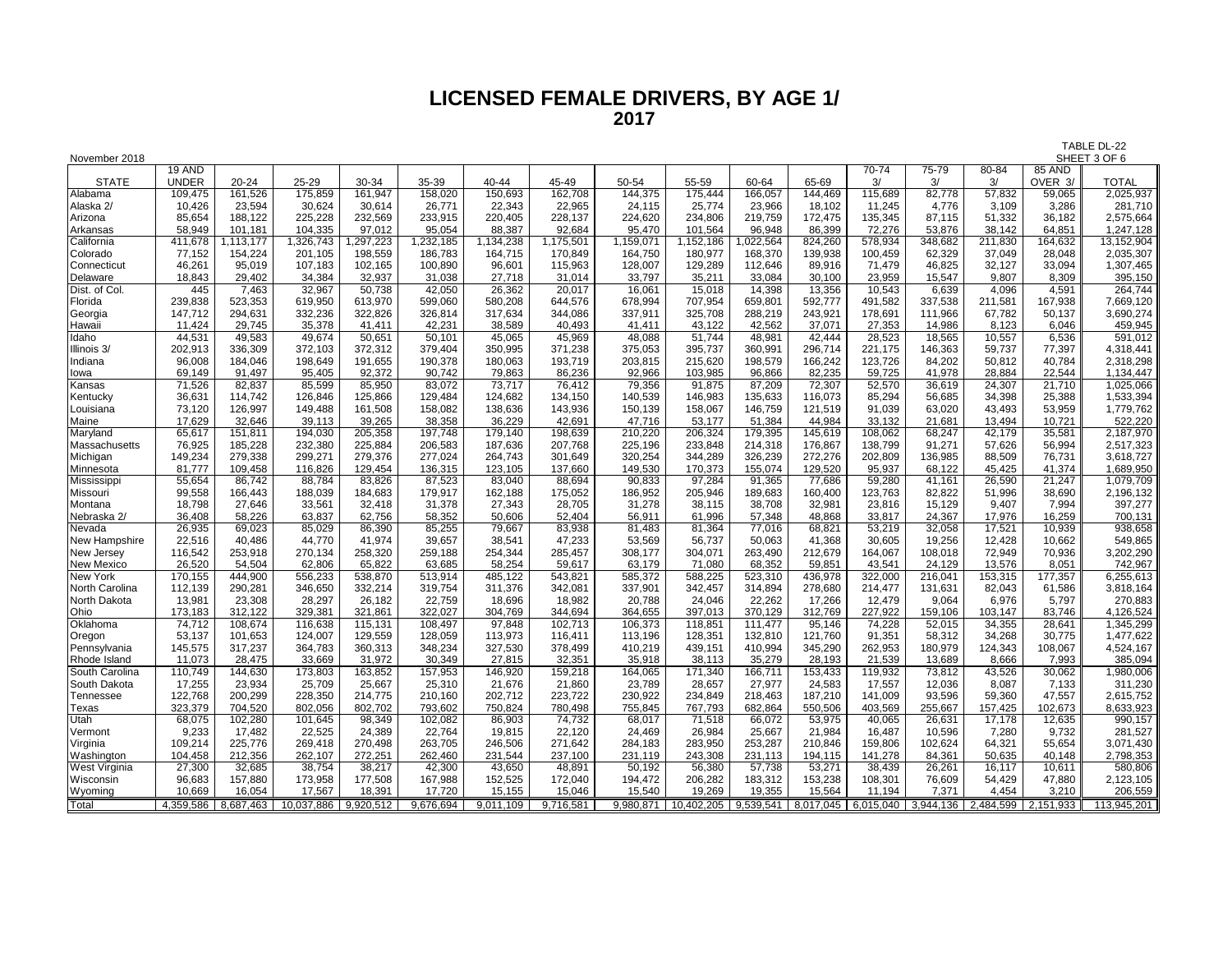# **LICENSED FEMALE DRIVERS, BY AGE 1/ 2017**

| November 2018          |                   |                   |                      |                   |                   |                   |                    |                    |                      |                   |                   |                   |                  |                                         |                  | SHEET 3 OF 6         |
|------------------------|-------------------|-------------------|----------------------|-------------------|-------------------|-------------------|--------------------|--------------------|----------------------|-------------------|-------------------|-------------------|------------------|-----------------------------------------|------------------|----------------------|
|                        | 19 AND            |                   |                      |                   |                   |                   |                    |                    |                      |                   |                   | $70 - 74$         | $75 - 79$        | $80 - 84$                               | 85 AND           |                      |
| <b>STATE</b>           | <b>UNDER</b>      | 20-24             | 25-29                | 30-34             | 35-39             | 40-44             | 45-49              | 50-54              | 55-59                | 60-64             | 65-69             | 3/                | 3/               | 3/                                      | OVER 3/          | <b>TOTAL</b>         |
| Alabama                | 109,475           | 161,526           | 175,859              | 161,947           | 158,020           | 150,693           | 162,708            | 144,375            | 175,444              | 166,057           | 144,469           | 115,689           | 82,778           | 57,832                                  | 59,065           | 2,025,937            |
| Alaska 2/              | 10,426            | 23,594            | 30,624               | 30,614            | 26,771            | 22,343            | 22,965             | 24,115             | 25,774               | 23,966            | 18,102            | 11,245            | 4,776            | 3,109                                   | 3,286            | 281,710              |
| Arizona                | 85,654            | 188,122           | 225,228              | 232,569           | 233,915           | 220,405           | 228,137            | 224,620            | 234,806              | 219,759           | 172,475           | 135,345           | 87,115           | 51,332                                  | 36,182           | 2,575,664            |
| Arkansas               | 58,949            | 101,181           | 104,335              | 97,012            | 95,054            | 88,387            | 92,684             | 95,470             | 101,564              | 96,948            | 86,399            | 72,276            | 53,876           | 38,142                                  | 64,851           | 1,247,128            |
| California             | 411,678           | ,113,177          | ,326,743             | ,297,223          | ,232,185          | 1,134,238         | 1,175,501          | 1,159,071          | 1,152,186            | 1,022,564         | 824,260           | 578,934           | 348,682          | 211,830                                 | 164,632          | 13,152,904           |
| Colorado               | 77,152            | 154,224           | 201,105              | 198,559           | 186,783           | 164,715           | 170,849            | 164,750            | 180,977              | 168,370           | 139,938           | 100,459           | 62,329           | 37,049                                  | 28,048           | 2,035,307            |
| Connecticut            | 46,261            | 95,019            | 107,183              | 102,165           | 100,890           | 96,601            | 115,963            | 128,007            | 129,289              | 112,646           | 89,916            | 71,479            | 46,825           | 32,127                                  | 33,094           | 1,307,465            |
| Delaware               | 18,843            | 29,402            | 34,384               | 32,937            | 31,038            | 27,718            | 31,014             | 33,797             | 35,211               | 33,084            | 30,100            | 23,959            | 15,547           | 9,807                                   | 8,309            | 395,150              |
| Dist. of Col.          | 445<br>239,838    | 7,463<br>523,353  | 32,967<br>619,950    | 50,738<br>613,970 | 42,050<br>599,060 | 26,362<br>580,208 | 20,017             | 16,061             | 15,018<br>707,954    | 14,398<br>659,801 | 13,356<br>592,777 | 10,543<br>491,582 | 6,639<br>337,538 | 4,096<br>211,581                        | 4,591<br>167,938 | 264,744<br>7,669,120 |
| Florida                |                   |                   | 332,236              | 322,826           | 326,814           |                   | 644,576<br>344.086 | 678,994<br>337,911 | 325,708              | 288,219           | 243,921           | 178,691           | 111.966          | 67.782                                  | 50.137           | 3,690,274            |
| Georgia                | 147,712<br>11,424 | 294,631<br>29,745 | 35,378               | 41.411            | 42,231            | 317,634<br>38,589 | 40,493             | 41,411             | 43,122               | 42,562            | 37,071            | 27,353            | 14,986           | 8,123                                   | 6.046            | 459,945              |
| Hawaii<br>Idaho        | 44,531            | 49,583            | 49,674               | 50,651            | 50,101            | 45,065            | 45,969             | 48,088             | 51,744               | 48,981            | 42,444            | 28,523            | 18,565           | 10,557                                  | 6,536            | 591,012              |
| Illinois 3/            | 202,913           | 336.309           | 372,103              | 372,312           | 379,404           | 350,995           | 371,238            | 375,053            | 395,737              | 360,991           | 296,714           | 221,175           | 146,363          | 59,737                                  | 77,397           | 4,318,441            |
| Indiana                | 96,008            | 184,046           | 198,649              | 191,655           | 190,378           | 180,063           | 193,719            | 203,815            | 215,620              | 198,579           | 166,242           | 123,726           | 84,202           | 50,812                                  | 40,784           | 2,318,298            |
| lowa                   | 69,149            | 91,497            | 95,405               | 92,372            | 90,742            | 79,863            | 86,236             | 92,966             | 103,985              | 96,866            | 82,235            | 59,725            | 41,978           | 28,884                                  | 22,544           | 1,134,447            |
| Kansas                 | 71,526            | 82,837            | 85,599               | 85,950            | 83,072            | 73,717            | 76,412             | 79,356             | 91,875               | 87,209            | 72,307            | 52,570            | 36,619           | 24,307                                  | 21,710           | 1,025,066            |
| Kentucky               | 36,631            | 114,742           | 126,846              | 125,866           | 129,484           | 124,682           | 134,150            | 140,539            | 146,983              | 135,633           | 116,073           | 85,294            | 56,685           | 34,398                                  | 25,388           | 1,533,394            |
| Louisiana              | 73,120            | 126,997           | 149,488              | 161,508           | 158,082           | 138,636           | 143,936            | 150,139            | 158,067              | 146,759           | 121,519           | 91,039            | 63,020           | 43,493                                  | 53,959           | 1,779,762            |
| Maine                  | 17,629            | 32,646            | 39,113               | 39,265            | 38,358            | 36,229            | 42,691             | 47,716             | 53,177               | 51,384            | 44,984            | 33,132            | 21,681           | 13,494                                  | 10,721           | 522,220              |
| Maryland               | 65,617            | 151,811           | 194,030              | 205,358           | 197,748           | 179,140           | 198,639            | 210,220            | 206,324              | 179,395           | 145,619           | 108,062           | 68,247           | 42,179                                  | 35,581           | 2,187,970            |
| Massachusetts          | 76,925            | 185,228           | 232,380              | 225,884           | 206,583           | 187,636           | 207,768            | 225,196            | 233,848              | 214,318           | 176,867           | 138,799           | 91,271           | 57,626                                  | 56,994           | 2,517,323            |
| Michigan               | 149,234           | 279,338           | 299,271              | 279,376           | 277,024           | 264,743           | 301,649            | 320,254            | 344,289              | 326,239           | 272,276           | 202,809           | 136,985          | 88,509                                  | 76,731           | 3,618,727            |
| Minnesota              | 81,777            | 109,458           | 116,826              | 129,454           | 136,315           | 123,105           | 137,660            | 149,530            | 170,373              | 155,074           | 129,520           | 95,937            | 68,122           | 45,425                                  | 41,374           | 1,689,950            |
| Mississippi            | 55,654            | 86,742            | 88,784               | 83,826            | 87,523            | 83,040            | 88,694             | 90,833             | 97,284               | 91,365            | 77,686            | 59,280            | 41,161           | 26,590                                  | 21,247           | 1,079,709            |
| Missouri               | 99,558            | 166,443           | 188,039              | 184,683           | 179,917           | 162,188           | 175,052            | 186,952            | 205,946              | 189,683           | 160,400           | 123,763           | 82,822           | 51,996                                  | 38,690           | 2,196,132            |
| Montana                | 18,798            | 27.646            | 33,561               | 32,418            | 31,378            | 27,343            | 28,705             | 31,278             | 38,115               | 38.708            | 32,981            | 23,816            | 15,129           | 9,407                                   | 7,994            | 397,277              |
| Nebraska 2/            | 36,408            | 58,226            | 63,837               | 62,756            | 58,352            | 50.606            | 52,404             | 56,911             | 61,996               | 57,348            | 48,868            | 33,817            | 24,367           | 17,976                                  | 16,259           | 700,131              |
| Nevada                 | 26,935            | 69,023            | 85,029               | 86,390            | 85,255            | 79,667            | 83.938             | 81,483             | 81.364               | 77,016            | 68,821            | 53,219            | 32,058           | 17,521                                  | 10.939           | 938,658              |
| New Hampshire          | 22,516            | 40.486            | 44,770               | 41,974            | 39,657            | 38,541            | 47,233             | 53,569             | 56,737               | 50,063            | 41,368            | 30,605            | 19,256           | 12,428                                  | 10,662           | 549,865              |
| New Jersey             | 116,542           | 253,918           | 270,134              | 258,320           | 259,188           | 254,344           | 285,457            | 308,177            | 304,071              | 263,490           | 212,679           | 164,067           | 108,018          | 72,949                                  | 70,936           | 3,202,290            |
| <b>New Mexico</b>      | 26,520            | 54,504            | 62,806               | 65,822            | 63,685            | 58,254            | 59,617             | 63,179             | 71,080               | 68,352            | 59,851            | 43,541            | 24,129           | 13,576                                  | 8,051            | 742,967              |
| <b>New York</b>        | 170,155           | 444,900           | 556,233              | 538,870           | 513,914           | 485,122           | 543,821            | 585,372            | 588,225              | 523,310           | 436,978           | 322,000           | 216,041          | 153,315                                 | 177,357          | 6,255,613            |
| North Carolina         | 112,139           | 290,281           | 346,650              | 332,214           | 319,754           | 311,376           | 342,081            | 337,901            | 342,457              | 314,894           | 278,680           | 214,477           | 131,631          | 82,043                                  | 61,586           | 3,818,164            |
| North Dakota           | 13,981            | 23,308            | 28,297               | 26,182            | 22,759            | 18,696            | 18,982             | 20,788             | 24,046               | 22,262            | 17,266            | 12,479            | 9,064            | 6,976                                   | 5,797            | 270,883              |
| Ohio                   | 173,183           | 312,122           | 329,381              | 321,861           | 322,027           | 304,769           | 344,694            | 364,655            | 397,013              | 370,129           | 312,769           | 227,922           | 159,106          | 103,147                                 | 83,746           | 4,126,524            |
| Oklahoma               | 74,712            | 108,674           | 116,638              | 115,131           | 108,497           | 97,848            | 102,713            | 106,373            | 118,851              | 111.477           | 95,146            | 74,228            | 52,015           | 34,355                                  | 28,641           | 1,345,299            |
| Oregon                 | 53,137            | 101,653           | 124,007              | 129,559           | 128,059           | 113,973           | 116,411            | 113,196            | 128,351              | 132,810           | 121,760           | 91,351            | 58,312           | 34,268                                  | 30,775           | 1,477,622            |
| Pennsylvania           | 145,575           | 317,237           | 364,783              | 360,313           | 348,234           | 327,530           | 378,499            | 410,219            | 439,151              | 410,994           | 345,290           | 262,953           | 180,979          | 124,343                                 | 108,067          | 4,524,167            |
| Rhode Island           | 11,073            | 28,475            | 33,669               | 31,972            | 30,349            | 27,815            | 32,351             | 35,918             | 38,113               | 35,279            | 28,193            | 21,539            | 13,689           | 8,666                                   | 7,993            | 385,094              |
| South Carolina         | 110,749           | 144,630           | 173,803              | 163,852           | 157,953           | 146,920           | 159,218            | 164,065            | 171,340              | 166,711           | 153,433           | 119,932           | 73,812           | 43,526                                  | 30,062           | 1,980,006            |
| South Dakota           | 17,255            | 23,934            | 25,709               | 25,667            | 25,310            | 21,676            | 21,860             | 23,789             | 28,657               | 27,977            | 24,583            | 17,557            | 12,036           | 8,087                                   | 7,133            | 311,230              |
| Tennessee              | 122,768           | 200,299           | 228,350              | 214,775           | 210,160           | 202,712           | 223,722            | 230,922            | 234,849              | 218,463           | 187,210           | 141,009           | 93,596           | 59,360                                  | 47,557           | 2,615,752            |
| Texas                  | 323,379           | 704,520           | 802,056              | 802,702           | 793,602           | 750,824           | 780,498            | 755,845            | 767,793              | 682,864           | 550,506           | 403,569           | 255,667          | 157,425                                 | 102,673          | 8,633,923            |
| Utah                   | 68,075<br>9,233   | 102,280<br>17,482 | 101,645<br>22,525    | 98,349<br>24,389  | 102,082           | 86,903            | 74,732             | 68,017             | 71,518<br>26,984     | 66,072<br>25,667  | 53,975<br>21,984  | 40,065<br>16,487  | 26,631<br>10,596 | 17,178<br>7,280                         | 12,635<br>9,732  | 990,157<br>281,527   |
| Vermont                | 109,214           | 225,776           | 269,418              | 270,498           | 22,764<br>263,705 | 19,815<br>246,506 | 22,120<br>271,642  | 24,469<br>284,183  | 283,950              | 253,287           | 210,846           | 159.806           | 102,624          | 64,321                                  | 55.654           | 3,071,430            |
| Virginia<br>Washington | 104,458           | 212,356           | 262,107              | 272,251           | 262,460           | 231,544           | 237,100            | 231,119            | 243,308              | 231,113           | 194,115           | 141,278           | 84,361           | 50,635                                  | 40,148           | 2,798,353            |
| <b>West Virginia</b>   | 27,300            | 32,685            | 38,754               | 38,217            | 42,300            | 43,650            | 48,891             | 50,192             | 56,380               | 57,738            | 53,271            | 38,439            | 26,261           | 16,117                                  | 10,611           | 580,806              |
| Wisconsin              | 96,683            | 157,880           | 173,958              | 177,508           | 167,988           | 152,525           | 172,040            | 194,472            | 206,282              | 183,312           | 153,238           | 108,301           | 76,609           | 54,429                                  | 47,880           | 2,123,105            |
| Wyoming                | 10.669            | 16,054            | 17,567               | 18,391            | 17,720            | 15,155            | 15,046             | 15,540             | 19,269               | 19,355            | 15,564            | 11.194            | 7,371            | 4.454                                   | 3,210            | 206,559              |
| Total                  | 4,359,586         | 8,687,463         | 10,037,886 9,920,512 |                   | 9,676,694         | 9,011,109         | 9,716,581          |                    | 9,980,871 10,402,205 | 9,539,541         | 8,017,045         |                   |                  | 6,015,040 3,944,136 2,484,599 2,151,933 |                  | 113,945,201          |
|                        |                   |                   |                      |                   |                   |                   |                    |                    |                      |                   |                   |                   |                  |                                         |                  |                      |

TABLE DL-22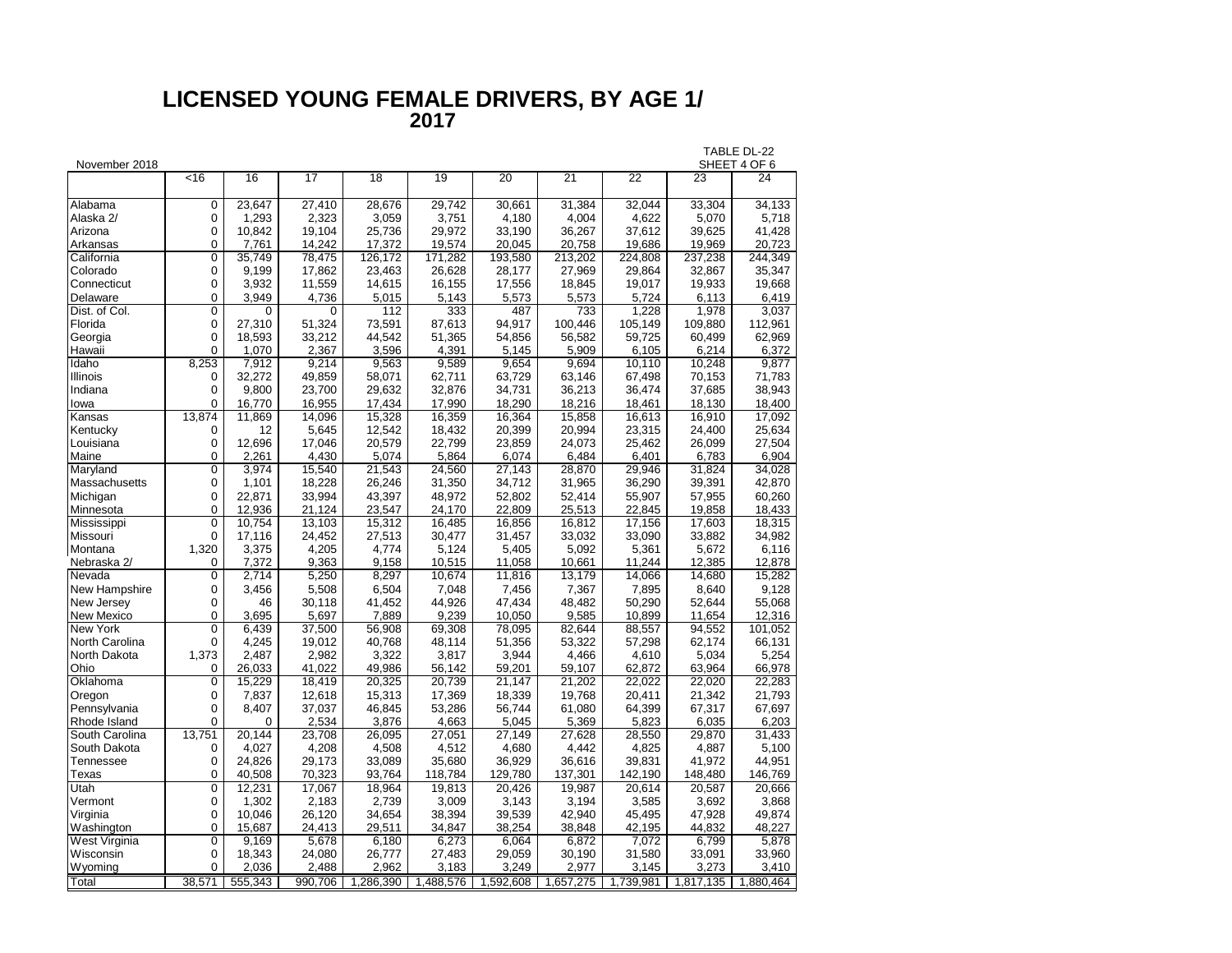#### **LICENSED YOUNG FEMALE DRIVERS, BY AGE 1/ 2017**

|                 |                |         |          |           |           |           |           |           |           | TABLE DL-22  |
|-----------------|----------------|---------|----------|-----------|-----------|-----------|-----------|-----------|-----------|--------------|
| November 2018   |                |         |          |           |           |           |           |           |           | SHEET 4 OF 6 |
|                 | $\overline{5}$ | 16      | 17       | 18        | 19        | 20        | 21        | 22        | 23        | 24           |
| Alabama         | 0              | 23,647  | 27,410   | 28,676    | 29,742    | 30,661    | 31,384    | 32,044    | 33,304    | 34,133       |
| Alaska 2/       | 0              | 1,293   | 2,323    | 3,059     | 3,751     | 4,180     | 4,004     | 4,622     | 5,070     | 5,718        |
| Arizona         | 0              | 10,842  | 19,104   | 25,736    | 29,972    | 33,190    | 36,267    | 37,612    | 39,625    | 41,428       |
| Arkansas        | $\Omega$       | 7,761   | 14,242   | 17,372    | 19,574    | 20,045    | 20,758    | 19,686    | 19,969    | 20,723       |
| California      | 0              | 35,749  | 78,475   | 126,172   | 171,282   | 193,580   | 213,202   | 224,808   | 237,238   | 244,349      |
| Colorado        | 0              | 9,199   | 17,862   | 23,463    | 26,628    | 28,177    | 27,969    | 29,864    | 32,867    | 35,347       |
| Connecticut     | 0              | 3,932   | 11,559   | 14,615    | 16,155    | 17,556    | 18,845    | 19,017    | 19,933    | 19,668       |
| Delaware        | 0              | 3,949   | 4,736    | 5,015     | 5,143     | 5,573     | 5,573     | 5,724     | 6,113     | 6,419        |
| Dist. of Col.   | 0              | 0       | $\Omega$ | 112       | 333       | 487       | 733       | 1,228     | 1,978     | 3,037        |
| Florida         | 0              | 27,310  | 51,324   | 73,591    | 87,613    | 94,917    | 100,446   | 105,149   | 109,880   | 112,961      |
| Georgia         | 0              | 18,593  | 33,212   | 44,542    | 51,365    | 54,856    | 56,582    | 59,725    | 60,499    | 62,969       |
| Hawaii          | 0              | 1,070   | 2,367    | 3,596     | 4,391     | 5,145     | 5,909     | 6,105     | 6,214     | 6,372        |
| Idaho           | 8,253          | 7,912   | 9,214    | 9,563     | 9,589     | 9,654     | 9,694     | 10,110    | 10,248    | 9,877        |
| <b>Illinois</b> | 0              | 32,272  | 49,859   | 58,071    | 62,711    | 63,729    | 63,146    | 67,498    | 70,153    | 71,783       |
| Indiana         | 0              | 9,800   | 23,700   | 29,632    | 32,876    | 34,731    | 36,213    | 36,474    | 37,685    | 38,943       |
| lowa            | $\Omega$       | 16.770  | 16,955   | 17,434    | 17,990    | 18,290    | 18,216    | 18,461    | 18,130    | 18,400       |
| Kansas          | 13,874         | 11,869  | 14,096   | 15,328    | 16,359    | 16,364    | 15,858    | 16,613    | 16,910    | 17,092       |
| Kentucky        | 0              | 12      | 5,645    | 12,542    | 18,432    | 20,399    | 20,994    | 23,315    | 24,400    | 25,634       |
| Louisiana       | 0              | 12,696  | 17,046   | 20,579    | 22,799    | 23,859    | 24,073    | 25,462    | 26,099    | 27,504       |
| Maine           | 0              | 2,261   | 4,430    | 5,074     | 5,864     | 6,074     | 6,484     | 6,401     | 6,783     | 6,904        |
| Maryland        | $\overline{0}$ | 3,974   | 15,540   | 21,543    | 24,560    | 27,143    | 28,870    | 29,946    | 31,824    | 34,028       |
| Massachusetts   | 0              | 1,101   | 18,228   | 26,246    | 31,350    | 34,712    | 31,965    | 36,290    | 39,391    | 42,870       |
| Michigan        | 0              | 22,871  | 33,994   | 43,397    | 48,972    | 52,802    | 52,414    | 55,907    | 57,955    | 60,260       |
| Minnesota       | 0              | 12,936  | 21,124   | 23,547    | 24,170    | 22,809    | 25,513    | 22,845    | 19,858    | 18,433       |
| Mississippi     | $\Omega$       | 10,754  | 13.103   | 15,312    | 16,485    | 16,856    | 16,812    | 17,156    | 17,603    | 18,315       |
| Missouri        | 0              | 17,116  | 24,452   | 27,513    | 30,477    | 31,457    | 33,032    | 33,090    | 33,882    | 34,982       |
| Montana         | 1,320          | 3,375   | 4,205    | 4,774     | 5,124     | 5,405     | 5,092     | 5,361     | 5,672     | 6,116        |
| Nebraska 2/     | 0              | 7,372   | 9,363    | 9,158     | 10,515    | 11,058    | 10,661    | 11,244    | 12,385    | 12,878       |
| Nevada          | $\overline{0}$ | 2,714   | 5,250    | 8,297     | 10,674    | 11,816    | 13,179    | 14,066    | 14,680    | 15,282       |
| New Hampshire   | 0              | 3,456   | 5,508    | 6,504     | 7,048     | 7,456     | 7,367     | 7,895     | 8,640     | 9,128        |
| New Jersey      | 0              | 46      | 30,118   | 41,452    | 44,926    | 47,434    | 48,482    | 50,290    | 52,644    | 55,068       |
| New Mexico      | $\Omega$       | 3,695   | 5,697    | 7,889     | 9,239     | 10,050    | 9,585     | 10,899    | 11,654    | 12,316       |
| New York        | 0              | 6,439   | 37,500   | 56,908    | 69,308    | 78,095    | 82,644    | 88,557    | 94,552    | 101,052      |
| North Carolina  | 0              | 4,245   | 19,012   | 40,768    | 48,114    | 51,356    | 53,322    | 57,298    | 62,174    | 66,131       |
| North Dakota    | 1,373          | 2,487   | 2,982    | 3,322     | 3,817     | 3,944     | 4,466     | 4,610     | 5,034     | 5,254        |
| Ohio            | 0              | 26,033  | 41.022   | 49,986    | 56,142    | 59,201    | 59,107    | 62,872    | 63,964    | 66,978       |
| Oklahoma        | 0              | 15.229  | 18,419   | 20,325    | 20,739    | 21,147    | 21,202    | 22,022    | 22,020    | 22,283       |
| Oregon          | 0              | 7,837   | 12,618   | 15,313    | 17,369    | 18,339    | 19,768    | 20,411    | 21,342    | 21,793       |
| Pennsylvania    | 0              | 8.407   | 37,037   | 46,845    | 53,286    | 56,744    | 61,080    | 64,399    | 67,317    | 67,697       |
| Rhode Island    | 0              | 0       | 2,534    | 3,876     | 4,663     | 5,045     | 5,369     | 5,823     | 6,035     | 6,203        |
| South Carolina  | 13.751         | 20,144  | 23.708   | 26,095    | 27,051    | 27,149    | 27,628    | 28,550    | 29,870    | 31,433       |
| South Dakota    | 0              | 4,027   | 4,208    | 4,508     | 4,512     | 4,680     | 4,442     | 4,825     | 4,887     | 5,100        |
| Tennessee       | 0              | 24,826  | 29,173   | 33,089    | 35,680    | 36,929    | 36,616    | 39,831    | 41,972    | 44,951       |
| Texas           | $\Omega$       | 40,508  | 70,323   | 93,764    | 118,784   | 129,780   | 137,301   | 142,190   | 148,480   | 146,769      |
| Utah            | 0              | 12,231  | 17,067   | 18,964    | 19,813    | 20,426    | 19,987    | 20,614    | 20,587    | 20,666       |
| Vermont         | 0              | 1,302   | 2,183    | 2,739     | 3,009     | 3,143     | 3,194     | 3,585     | 3,692     | 3,868        |
| Virginia        | 0              | 10,046  | 26,120   | 34,654    | 38,394    | 39,539    | 42,940    | 45,495    | 47,928    | 49,874       |
| Washington      | 0              | 15,687  | 24,413   | 29,511    | 34,847    | 38,254    | 38,848    | 42,195    | 44,832    | 48,227       |
| West Virginia   | 0              | 9,169   | 5,678    | 6,180     | 6,273     | 6,064     | 6,872     | 7,072     | 6,799     | 5,878        |
| Wisconsin       | 0              | 18,343  | 24,080   | 26,777    | 27,483    | 29,059    | 30,190    | 31,580    | 33,091    | 33,960       |
| Wyoming         | 0              | 2,036   | 2,488    | 2,962     | 3,183     | 3,249     | 2,977     | 3,145     | 3,273     | 3,410        |
| Total           | 38,571         | 555,343 | 990,706  | 1,286,390 | 1,488,576 | 1,592,608 | 1,657,275 | 1,739,981 | 1,817,135 | 1.880.464    |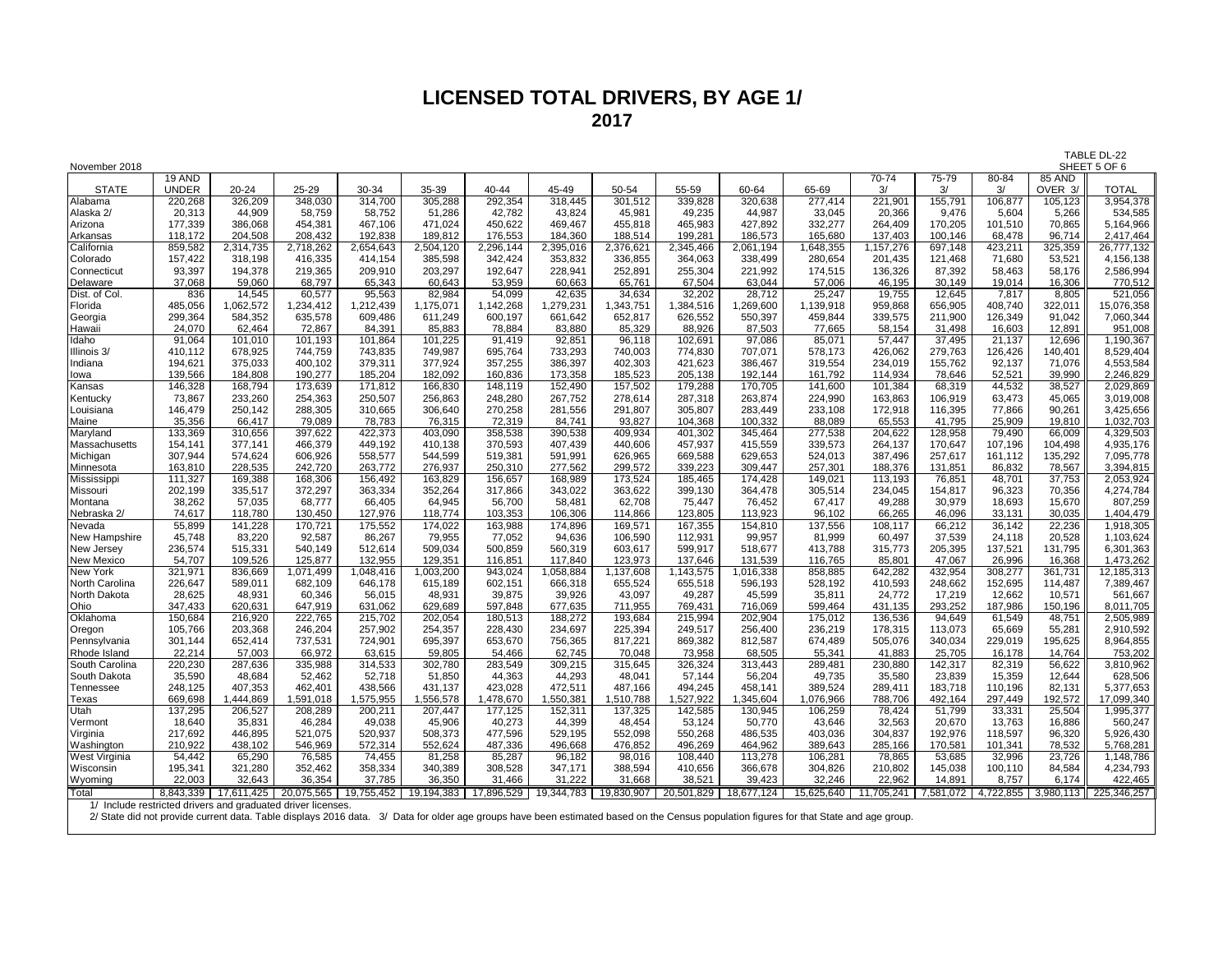#### **LICENSED TOTAL DRIVERS, BY AGE 1/ 2017**

| November 2018                |                    |                                                             |                    |                    |                    |                    |                    |                    |                    |                    |                    |                    |                    |                   |                   | 17 JULL UL 44<br>SHEET 5 OF 6 |
|------------------------------|--------------------|-------------------------------------------------------------|--------------------|--------------------|--------------------|--------------------|--------------------|--------------------|--------------------|--------------------|--------------------|--------------------|--------------------|-------------------|-------------------|-------------------------------|
|                              | 19 AND             |                                                             |                    |                    |                    |                    |                    |                    |                    |                    |                    | $70 - 74$          | $75 - 79$          | 80-84             | 85 AND            |                               |
| <b>STATE</b>                 | <b>UNDER</b>       | $20 - 24$                                                   | 25-29              | 30-34              | 35-39              | 40-44              | 45-49              | 50-54              | 55-59              | 60-64              | 65-69              | 3/                 | 3/                 | 3/                | OVER 3/           | <b>TOTAL</b>                  |
| Alabama<br>Alaska 2/         | 220,268<br>20,313  | 326,209<br>44,909                                           | 348,030<br>58,759  | 314,700<br>58,752  | 305,288<br>51,286  | 292,354<br>42,782  | 318,445<br>43,824  | 301,512<br>45,981  | 339,828<br>49,235  | 320,638<br>44,987  | 277,414<br>33,045  | 221,901<br>20,366  | 155,791<br>9,476   | 106,877<br>5,604  | 105,123<br>5,266  | 3,954,378<br>534,585          |
| Arizona                      | 177,339            | 386,068                                                     | 454,381            | 467,106            | 471,024            | 450,622            | 469,467            | 455,818            | 465,983            | 427,892            | 332,277            | 264,409            | 170,205            | 101,510           | 70,865            | 5,164,966                     |
| Arkansas                     | 118,172            | 204,508                                                     | 208,432            | 192,838            | 189,812            | 176,553            | 184,360            | 188,514            | 199,281            | 186,573            | 165,680            | 137,403            | 100.146            | 68,478            | 96,714            | 2,417,464                     |
| California                   | 859,582            | 2,314,735                                                   | 2,718,262          | 2,654,643          | 2,504,120          | 2,296,144          | 2,395,016          | 2,376,621          | 2,345,466          | 2,061,194          | 1,648,355          | 1,157,276          | 697,148            | 423,211           | 325,359           | 26,777,132                    |
| Colorado                     | 157,422            | 318,198                                                     | 416,335            | 414,154            | 385,598            | 342,424            | 353,832            | 336,855            | 364,063            | 338,499            | 280,654            | 201,435            | 121,468            | 71,680            | 53,521            | 4,156,138                     |
| Connecticut                  | 93,397             | 194,378                                                     | 219,365            | 209,910            | 203,297            | 192,647            | 228,941            | 252,891            | 255,304            | 221,992            | 174,515            | 136,326            | 87,392             | 58,463            | 58,176            | 2,586,994                     |
| Delaware                     | 37,068             | 59,060                                                      | 68,797             | 65,343             | 60,643             | 53,959             | 60,663             | 65,761             | 67,504             | 63,044             | 57,006             | 46,195             | 30,149             | 19,014            | 16,306            | 770,512                       |
| Dist. of Col.                | 836                | 14,545                                                      | 60,577             | 95,563             | 82,984             | 54,099             | 42,635             | 34,634             | 32,202             | 28,712             | 25,247             | 19,755             | 12,645             | 7,817             | 8,805             | 521,056                       |
| Florida                      | 485,056            | 1,062,572                                                   | ,234,412           | 1,212,439          | 1,175,071          | 1,142,268          | 1,279,231          | 1,343,751          | 1,384,516          | 1,269,600          | 1,139,918          | 959,868            | 656,905            | 408,740           | 322,011           | 15,076,358                    |
| Georgia                      | 299,364            | 584,352                                                     | 635,578            | 609,486            | 611,249            | 600,197            | 661,642            | 652,817            | 626,552            | 550,397            | 459,844            | 339,575            | 211,900            | 126,349           | 91,042            | 7,060,344                     |
| Hawaii                       | 24,070             | 62,464                                                      | 72,867             | 84,391             | 85,883             | 78,884             | 83,880             | 85,329             | 88,926             | 87,503             | 77,665             | 58,154             | 31,498             | 16,603            | 12,891            | 951,008                       |
| Idaho                        | 91,064             | 101,010                                                     | 101,193            | 101,864            | 101,225            | 91,419             | 92,851             | 96,118             | 102,691            | 97,086             | 85,071             | 57,447             | 37,495             | 21,137            | 12,696            | 1,190,367                     |
| Illinois 3/                  | 410,112            | 678,925                                                     | 744,759            | 743,835            | 749,987            | 695,764            | 733,293            | 740,003            | 774,830            | 707,071            | 578,173            | 426,062            | 279,763            | 126,426           | 140,401           | 8,529,404                     |
| Indiana                      | 194,621            | 375,033                                                     | 400,102            | 379,311            | 377,924            | 357,255            | 386,397            | 402,303            | 421,623            | 386,467            | 319,554            | 234,019            | 155,762            | 92,137            | 71,076            | 4,553,584                     |
| lowa                         | 139,566            | 184,808                                                     | 190,277            | 185,204            | 182,092            | 160,836            | 173,358            | 185,523            | 205,138            | 192,144            | 161,792            | 114,934            | 78,646             | 52,521            | 39,990            | 2,246,829                     |
| Kansas                       | 146,328            | 168,794                                                     | 173,639            | 171,812            | 166,830            | 148,119            | 152,490            | 157,502            | 179,288            | 170,705            | 141,600            | 101,384            | 68,319             | 44,532            | 38,527            | 2,029,869                     |
| Kentucky                     | 73,867             | 233,260                                                     | 254,363            | 250,507            | 256,863            | 248,280            | 267,752            | 278,614            | 287,318            | 263,874            | 224,990            | 163,863            | 106,919            | 63,473            | 45,065            | 3,019,008                     |
| Louisiana                    | 146,479            | 250,142                                                     | 288,305            | 310,665            | 306,640            | 270,258            | 281,556            | 291,807            | 305,807            | 283,449            | 233,108            | 172,918            | 116,395            | 77,866            | 90,261            | 3,425,656                     |
| Maine                        | 35,356             | 66,417                                                      | 79,089             | 78,783             | 76,315             | 72,319             | 84,741             | 93,827             | 104,368            | 100,332            | 88,089             | 65,553             | 41,795             | 25,909            | 19,810            | 1,032,703                     |
| Maryland                     | 133,369            | 310,656                                                     | 397,622            | 422,373            | 403,090            | 358,538            | 390,538            | 409,934            | 401,302            | 345,464            | 277,538            | 204,622            | 128,958            | 79,490            | 66,009            | 4,329,503                     |
| Massachusetts                | 154,141            | 377,141                                                     | 466,379            | 449,192            | 410,138            | 370,593            | 407,439            | 440,606            | 457,937            | 415,559            | 339,573            | 264,137            | 170,647            | 107,196           | 104,498           | 4,935,176                     |
| Michigan                     | 307,944            | 574,624                                                     | 606,926            | 558,577            | 544,599            | 519,381            | 591,991            | 626,965            | 669,588            | 629,653            | 524,013            | 387,496            | 257,617            | 161,112           | 135,292           | 7,095,778                     |
| Minnesota                    | 163,810            | 228,535                                                     | 242,720            | 263,772            | 276,937            | 250,310            | 277,562            | 299,572            | 339,223            | 309,447            | 257,301            | 188,376            | 131,851            | 86,832            | 78,567            | 3,394,815                     |
| Mississippi                  | 111,327            | 169,388                                                     | 168,306            | 156,492            | 163,829            | 156,657            | 168,989            | 173,524            | 185,465            | 174,428            | 149,021            | 113,193            | 76,851             | 48,701            | 37,753            | 2,053,924                     |
| Missouri                     | 202,199            | 335,517                                                     | 372,297            | 363,334            | 352,264            | 317,866            | 343,022            | 363,622            | 399,130            | 364,478            | 305,514            | 234,045            | 154,817            | 96,323            | 70,356            | 4,274,784                     |
| Montana                      | 38,262             | 57,035                                                      | 68,777             | 66,405             | 64,945             | 56,700             | 58,481             | 62,708             | 75,447             | 76,452             | 67,417             | 49,288             | 30,979             | 18,693            | 15,670            | 807,259                       |
| Nebraska 2/                  | 74,617             | 118,780                                                     | 130,450            | 127,976            | 118,774            | 103,353            | 106,306            | 114,866            | 123,805            | 113,923            | 96,102             | 66,265             | 46,096             | 33,131            | 30,035            | 1,404,479                     |
| Nevada                       | 55,899             | 141,228                                                     | 170,721            | 175,552            | 174,022            | 163,988            | 174,896            | 169,571            | 167,355            | 154,810            | 137,556            | 108,117            | 66,212             | 36,142            | 22,236            | 1,918,305                     |
| New Hampshire                | 45,748             | 83,220                                                      | 92,587             | 86,267             | 79,955             | 77,052             | 94,636             | 106,590            | 112,931            | 99,957             | 81,999             | 60,497             | 37,539             | 24,118            | 20,528            | 1,103,624                     |
| New Jersey                   | 236,574            | 515,331                                                     | 540,149            | 512,614            | 509,034            | 500,859            | 560,319            | 603,617            | 599,917            | 518,677            | 413,788            | 315,773            | 205,395            | 137,521           | 131,795           | 6,301,363                     |
| <b>New Mexico</b>            | 54,707             | 109,526                                                     | 125,877            | 132,955            | 129,351            | 116,851            | 117,840            | 123,973            | 137,646            | 131,539            | 116,765            | 85,801             | 47,067             | 26,996            | 16,368            | 1,473,262                     |
| New York                     | 321,971            | 836,669                                                     | 1,071,499          | ,048,416           | 1,003,200          | 943,024            | ,058,884           | 1,137,608          | 1,143,575          | 1,016,338          | 858,885            | 642,282            | 432,954            | 308,277           | 361,731           | 12,185,313                    |
| North Carolina               | 226,647            | 589,011                                                     | 682,109            | 646,178            | 615,189            | 602,151            | 666,318            | 655,524            | 655,518            | 596,193            | 528,192            | 410,593            | 248,662            | 152,695           | 114,487           | 7,389,467                     |
| North Dakota                 | 28,625             | 48,931                                                      | 60,346             | 56,015             | 48,931             | 39,875             | 39,926             | 43,097             | 49,287             | 45,599             | 35,811             | 24,772             | 17,219             | 12,662            | 10,571            | 561,667                       |
| Ohio                         | 347,433            | 620,631                                                     | 647,919            | 631,062            | 629,689            | 597,848            | 677,635            | 711,955            | 769,431            | 716,069<br>202,904 | 599,464            | 431,135            | 293,252            | 187,986           | 150,196           | 8,011,705                     |
| Oklahoma                     | 150,684            | 216,920                                                     | 222,765            | 215,702            | 202,054            | 180,513            | 188,272            | 193,684            | 215,994            |                    | 175,012            | 136,536            | 94,649             | 61,549            | 48,751            | 2,505,989                     |
| Oregon                       | 105,766<br>301,144 | 203,368<br>652,414                                          | 246,204<br>737,531 | 257,902<br>724,901 | 254,357<br>695,397 | 228,430<br>653,670 | 234,697<br>756,365 | 225,394<br>817,221 | 249,517<br>869,382 | 256,400<br>812,587 | 236,219<br>674,489 | 178,315<br>505,076 | 113,073<br>340,034 | 65,669<br>229,019 | 55,281<br>195,625 | 2,910,592<br>8,964,855        |
| Pennsylvania<br>Rhode Island | 22,214             | 57,003                                                      | 66,972             | 63,615             | 59,805             | 54,466             |                    | 70,048             | 73,958             | 68,505             | 55,341             | 41,883             | 25,705             | 16,178            | 14,764            | 753,202                       |
| South Carolina               | 220,230            | 287,636                                                     | 335,988            | 314,533            | 302,780            | 283,549            | 62,745<br>309,215  | 315,645            | 326,324            | 313,443            | 289,481            | 230,880            | 142,317            | 82,319            | 56,622            | 3,810,962                     |
| South Dakota                 | 35,590             | 48,684                                                      | 52,462             | 52,718             | 51,850             | 44,363             | 44,293             | 48,041             | 57,144             | 56,204             | 49,735             | 35,580             | 23,839             | 15,359            | 12,644            | 628,506                       |
| Tennessee                    | 248,125            | 407,353                                                     | 462,401            | 438,566            | 431,137            | 423,028            | 472,511            | 487,166            | 494,245            | 458,141            | 389,524            | 289,411            | 183,718            | 110,196           | 82,131            | 5,377,653                     |
| <b>Texas</b>                 | 669,698            | 1,444,869                                                   | ,591,018           | 1,575,955          | 1,556,578          | ,478,670           | 1,550,381          | 1,510,788          | ,527,922           | 345,604            | 1,076,966          | 788,706            | 492,164            | 297,449           | 192,572           | 17,099,340                    |
| Utah                         | 137,295            | 206,527                                                     | 208,289            | 200,211            | 207,447            | 177,125            | 152,311            | 137,325            | 142,585            | 130,945            | 106,259            | 78,424             | 51,799             | 33,331            | 25,504            | 1,995,377                     |
| Vermont                      | 18,640             | 35,831                                                      | 46,284             | 49,038             | 45,906             | 40,273             | 44,399             | 48,454             | 53,124             | 50,770             | 43,646             | 32,563             | 20,670             | 13,763            | 16,886            | 560,247                       |
| Virginia                     | 217,692            | 446,895                                                     | 521,075            | 520,937            | 508,373            | 477,596            | 529,195            | 552,098            | 550,268            | 486,535            | 403,036            | 304,837            | 192,976            | 118,597           | 96,320            | 5,926,430                     |
| Washington                   | 210,922            | 438,102                                                     | 546,969            | 572,314            | 552,624            | 487,336            | 496,668            | 476,852            | 496,269            | 464,962            | 389,643            | 285,166            | 170,581            | 101,341           | 78,532            | 5,768,281                     |
| West Virginia                | 54,442             | 65,290                                                      | 76,585             | 74,455             | 81,258             | 85,287             | 96,182             | 98,016             | 108,440            | 113,278            | 106,281            | 78,865             | 53,685             | 32,996            | 23,726            | 1,148,786                     |
| Wisconsin                    | 195,341            | 321,280                                                     | 352,462            | 358,334            | 340,389            | 308,528            | 347,171            | 388,594            | 410,656            | 366,678            | 304,826            | 210,802            | 145,038            | 100,110           | 84,584            | 4,234,793                     |
| Wyoming                      | 22,003             | 32,643                                                      | 36,354             | 37,785             | 36,350             | 31,466             | 31.222             | 31,668             | 38,521             | 39,423             | 32,246             | 22,962             | 14,891             | 8,757             | 6,174             | 422,465                       |
| Total                        | 8,843,339          | 17,611,425                                                  | 20,075,565         | 19,755,452         | 19,194,383         | 17,896,529         | 19,344,783         | 19,830,907         | 20,501,829         | 18,677,124         | 15,625,640         | 11,705,241         | 7,581,072          | 4,722,855         | 3,980,113         | 225,346,257                   |
|                              |                    | 1/ Include restricted drivers and graduated driver licenses |                    |                    |                    |                    |                    |                    |                    |                    |                    |                    |                    |                   |                   |                               |

2/ State did not provide current data. Table displays 2016 data. 3/ Data for older age groups have been estimated based on the Census population figures for that State and age group.

TABLE DL-22